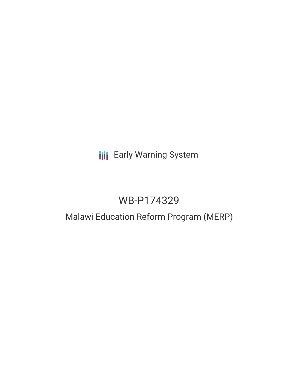# **III** Early Warning System

# WB-P174329

# Malawi Education Reform Program (MERP)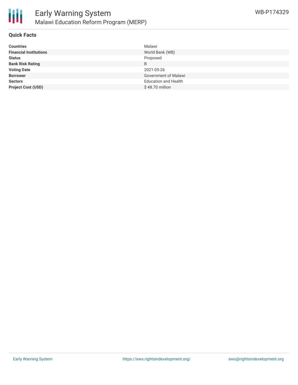

### **Quick Facts**

| <b>Countries</b>              | Malawi                      |
|-------------------------------|-----------------------------|
| <b>Financial Institutions</b> | World Bank (WB)             |
| <b>Status</b>                 | Proposed                    |
| <b>Bank Risk Rating</b>       | B                           |
| <b>Voting Date</b>            | 2021-05-26                  |
| <b>Borrower</b>               | <b>Government of Malawi</b> |
| <b>Sectors</b>                | <b>Education and Health</b> |
| <b>Project Cost (USD)</b>     | $$48.70$ million            |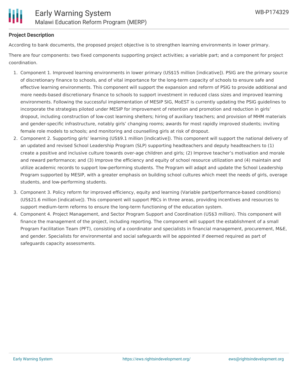

## **Project Description**

According to bank documents, the proposed project objective is to strengthen learning environments in lower primary.

There are four components: two fixed components supporting project activities; a variable part; and a component for project coordination.

- 1. Component 1. Improved learning environments in lower primary (US\$15 million [indicative]). PSIG are the primary source of discretionary finance to schools, and of vital importance for the long-term capacity of schools to ensure safe and effective learning environments. This component will support the expansion and reform of PSIG to provide additional and more needs-based discretionary finance to schools to support investment in reduced class sizes and improved learning environments. Following the successful implementation of MESIP SIG, MoEST is currently updating the PSIG guidelines to incorporate the strategies piloted under MESIP for improvement of retention and promotion and reduction in girls' dropout, including construction of low-cost learning shelters; hiring of auxiliary teachers; and provision of MHM materials and gender-specific infrastructure, notably girls' changing rooms; awards for most rapidly improved students; inviting female role models to schools; and monitoring and counselling girls at risk of dropout.
- 2. Component 2. Supporting girls' learning (US\$9.1 million [indicative]). This component will support the national delivery of an updated and revised School Leadership Program (SLP) supporting headteachers and deputy headteachers to (1) create a positive and inclusive culture towards over-age children and girls; (2) Improve teacher's motivation and morale and reward performance; and (3) Improve the efficiency and equity of school resource utilization and (4) maintain and utilize academic records to support low-performing students. The Program will adapt and update the School Leadership Program supported by MESIP, with a greater emphasis on building school cultures which meet the needs of girls, overage students, and low-performing students.
- 3. Component 3. Policy reform for improved efficiency, equity and learning (Variable part/performance-based conditions) (US\$21.6 million [indicative]). This component will support PBCs in three areas, providing incentives and resources to support medium-term reforms to ensure the long-term functioning of the education system.
- 4. Component 4. Project Management, and Sector Program Support and Coordination (US\$3 million). This component will finance the management of the project, including reporting. The component will support the establishment of a small Program Facilitation Team (PFT), consisting of a coordinator and specialists in financial management, procurement, M&E, and gender. Specialists for environmental and social safeguards will be appointed if deemed required as part of safeguards capacity assessments.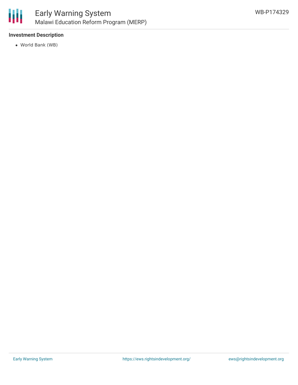

## **Investment Description**

World Bank (WB)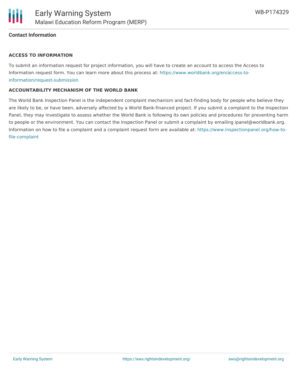

### **Contact Information**

#### **ACCESS TO INFORMATION**

To submit an information request for project information, you will have to create an account to access the Access to Information request form. You can learn more about this process at: [https://www.worldbank.org/en/access-to](https://www.worldbank.org/en/access-to-information/request-submission)information/request-submission

#### **ACCOUNTABILITY MECHANISM OF THE WORLD BANK**

The World Bank Inspection Panel is the independent complaint mechanism and fact-finding body for people who believe they are likely to be, or have been, adversely affected by a World Bank-financed project. If you submit a complaint to the Inspection Panel, they may investigate to assess whether the World Bank is following its own policies and procedures for preventing harm to people or the environment. You can contact the Inspection Panel or submit a complaint by emailing ipanel@worldbank.org. Information on how to file a complaint and a complaint request form are available at: [https://www.inspectionpanel.org/how-to](https://www.inspectionpanel.org/how-to-file-complaint)file-complaint